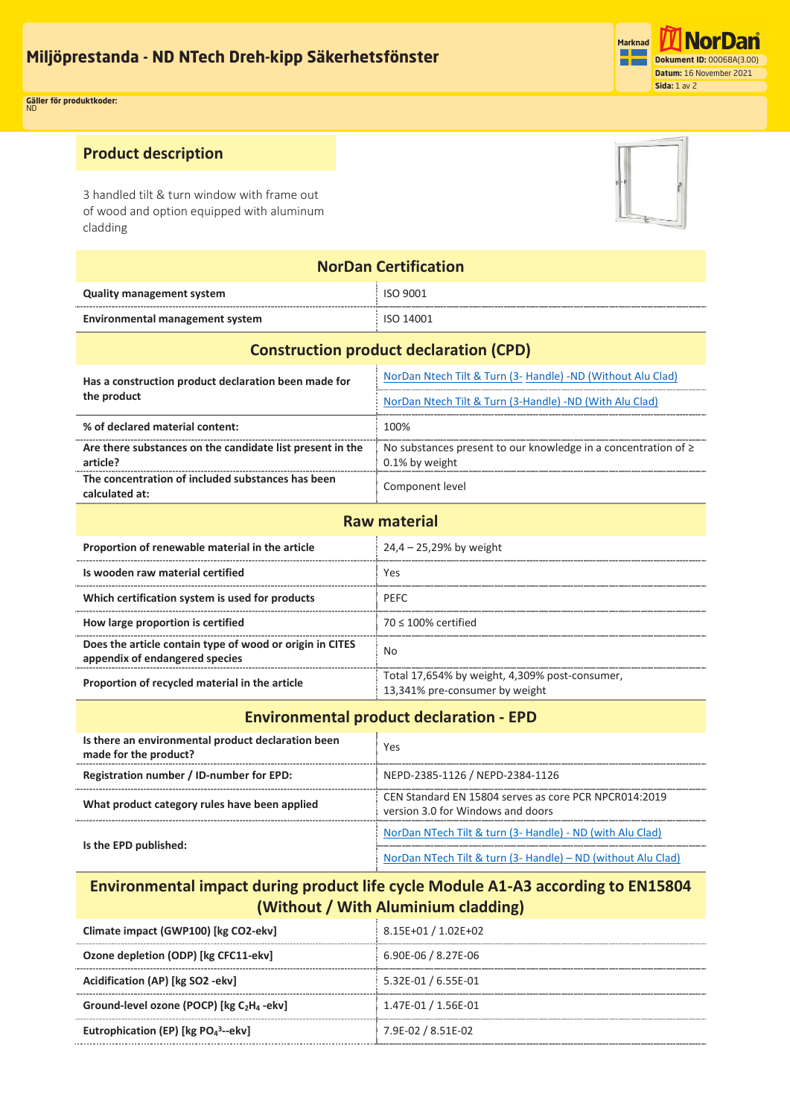

#### **Gäller för produktkoder:** ND **Applicable for product codes:** ND

**article?**

# **Product description**

3 handled tilt & turn window with frame out of wood and option equipped with aluminum cladding

**The concentration of included substances has been Component level** 

| <b>NorDan Certification</b>                                         |                                                                     |  |
|---------------------------------------------------------------------|---------------------------------------------------------------------|--|
| <b>Quality management system</b>                                    | <b>ISO 9001</b>                                                     |  |
| <b>Environmental management system</b>                              | <b>ISO 14001</b>                                                    |  |
| <b>Construction product declaration (CPD)</b>                       |                                                                     |  |
| Has a construction product declaration been made for<br>the product | NorDan Ntech Tilt & Turn (3- Handle) -ND (Without Alu Clad)         |  |
|                                                                     | NorDan Ntech Tilt & Turn (3-Handle) -ND (With Alu Clad)             |  |
| % of declared material content:                                     | 100%                                                                |  |
| Are there substances on the candidate list present in the           | No substances present to our knowledge in a concentration of $\geq$ |  |

0.1% by weight

| Proportion of renewable material in the article                                            | $24.4 - 25.29\%$ by weight                                                       |
|--------------------------------------------------------------------------------------------|----------------------------------------------------------------------------------|
| Is wooden raw material certified                                                           | Yes                                                                              |
| Which certification system is used for products                                            | <b>PFFC</b>                                                                      |
| How large proportion is certified                                                          | $70 < 100\%$ certified                                                           |
| Does the article contain type of wood or origin in CITES<br>appendix of endangered species | No.                                                                              |
| Proportion of recycled material in the article                                             | Total 17,654% by weight, 4,309% post-consumer,<br>13,341% pre-consumer by weight |

#### **Environmental product declaration - EPD**

| Is there an environmental product declaration been<br>made for the product? | Yes                                                                                        |
|-----------------------------------------------------------------------------|--------------------------------------------------------------------------------------------|
| Registration number / ID-number for EPD:                                    | NEPD-2385-1126 / NEPD-2384-1126                                                            |
| What product category rules have been applied                               | CEN Standard EN 15804 serves as core PCR NPCR014:2019<br>version 3.0 for Windows and doors |
| Is the EPD published:                                                       | NorDan NTech Tilt & turn (3- Handle) - ND (with Alu Clad)                                  |
|                                                                             | NorDan NTech Tilt & turn (3- Handle) - ND (without Alu Clad)                               |

# **Environmental impact during product life cycle Module A1-A3 according to EN15804 (Without / With Aluminium cladding)**

| Climate impact (GWP100) [kg CO2-ekv]                              | 8.15E+01 / 1.02E+02 |
|-------------------------------------------------------------------|---------------------|
| Ozone depletion (ODP) [kg CFC11-ekv]                              | 6.90E-06 / 8.27E-06 |
| Acidification (AP) [kg SO2 -ekv]                                  | 5.32E-01 / 6.55E-01 |
| Ground-level ozone (POCP) [kg C <sub>2</sub> H <sub>4</sub> -ekv] | 1.47E-01 / 1.56E-01 |
| Eutrophication (EP) [kg $PO_4^3$ --ekv]                           | 7.9E-02 / 8.51E-02  |